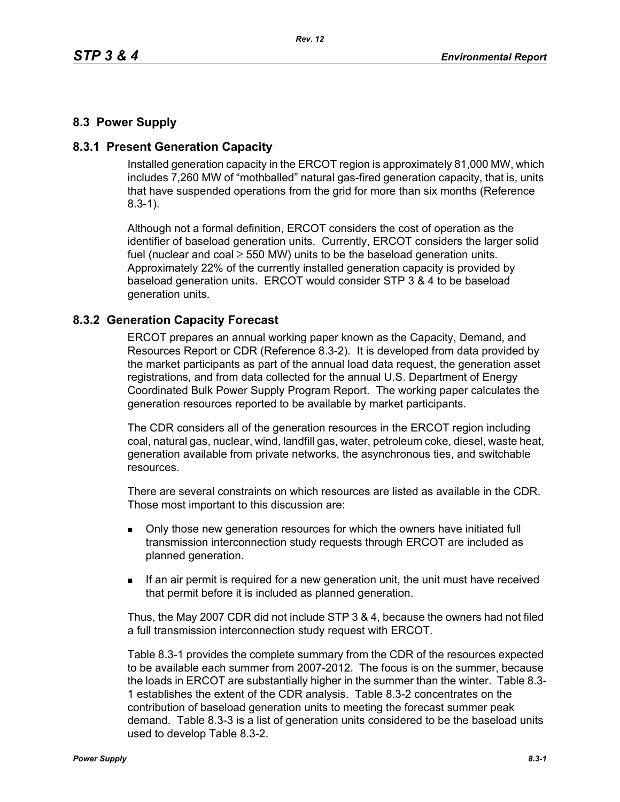## **8.3 Power Supply**

### **8.3.1 Present Generation Capacity**

Installed generation capacity in the ERCOT region is approximately 81,000 MW, which includes 7,260 MW of "mothballed" natural gas-fired generation capacity, that is, units that have suspended operations from the grid for more than six months (Reference 8.3-1).

Although not a formal definition, ERCOT considers the cost of operation as the identifier of baseload generation units. Currently, ERCOT considers the larger solid fuel (nuclear and coal  $\geq$  550 MW) units to be the baseload generation units. Approximately 22% of the currently installed generation capacity is provided by baseload generation units. ERCOT would consider STP 3 & 4 to be baseload generation units.

#### **8.3.2 Generation Capacity Forecast**

ERCOT prepares an annual working paper known as the Capacity, Demand, and Resources Report or CDR (Reference 8.3-2). It is developed from data provided by the market participants as part of the annual load data request, the generation asset registrations, and from data collected for the annual U.S. Department of Energy Coordinated Bulk Power Supply Program Report. The working paper calculates the generation resources reported to be available by market participants.

The CDR considers all of the generation resources in the ERCOT region including coal, natural gas, nuclear, wind, landfill gas, water, petroleum coke, diesel, waste heat, generation available from private networks, the asynchronous ties, and switchable resources.

There are several constraints on which resources are listed as available in the CDR. Those most important to this discussion are:

- **Drankler in Solvet** over a only those new generation resources for which the owners have initiated full transmission interconnection study requests through ERCOT are included as planned generation.
- If an air permit is required for a new generation unit, the unit must have received that permit before it is included as planned generation.

Thus, the May 2007 CDR did not include STP 3 & 4, because the owners had not filed a full transmission interconnection study request with ERCOT.

Table 8.3-1 provides the complete summary from the CDR of the resources expected to be available each summer from 2007-2012. The focus is on the summer, because the loads in ERCOT are substantially higher in the summer than the winter. Table 8.3- 1 establishes the extent of the CDR analysis. Table 8.3-2 concentrates on the contribution of baseload generation units to meeting the forecast summer peak demand. Table 8.3-3 is a list of generation units considered to be the baseload units used to develop Table 8.3-2.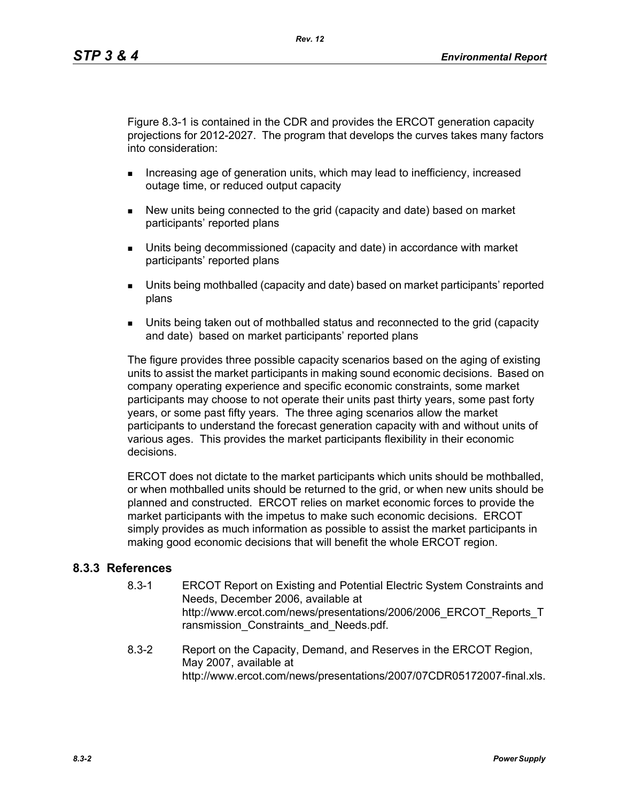Figure 8.3-1 is contained in the CDR and provides the ERCOT generation capacity projections for 2012-2027. The program that develops the curves takes many factors into consideration:

- **Increasing age of generation units, which may lead to inefficiency, increased** outage time, or reduced output capacity
- New units being connected to the grid (capacity and date) based on market participants' reported plans
- Units being decommissioned (capacity and date) in accordance with market participants' reported plans
- Units being mothballed (capacity and date) based on market participants' reported plans
- Units being taken out of mothballed status and reconnected to the grid (capacity and date) based on market participants' reported plans

The figure provides three possible capacity scenarios based on the aging of existing units to assist the market participants in making sound economic decisions. Based on company operating experience and specific economic constraints, some market participants may choose to not operate their units past thirty years, some past forty years, or some past fifty years. The three aging scenarios allow the market participants to understand the forecast generation capacity with and without units of various ages. This provides the market participants flexibility in their economic decisions.

ERCOT does not dictate to the market participants which units should be mothballed, or when mothballed units should be returned to the grid, or when new units should be planned and constructed. ERCOT relies on market economic forces to provide the market participants with the impetus to make such economic decisions. ERCOT simply provides as much information as possible to assist the market participants in making good economic decisions that will benefit the whole ERCOT region.

### **8.3.3 References**

- 8.3-1 ERCOT Report on Existing and Potential Electric System Constraints and Needs, December 2006, available at http://www.ercot.com/news/presentations/2006/2006\_ERCOT\_Reports\_T ransmission Constraints and Needs.pdf.
- 8.3-2 Report on the Capacity, Demand, and Reserves in the ERCOT Region, May 2007, available at http://www.ercot.com/news/presentations/2007/07CDR05172007-final.xls.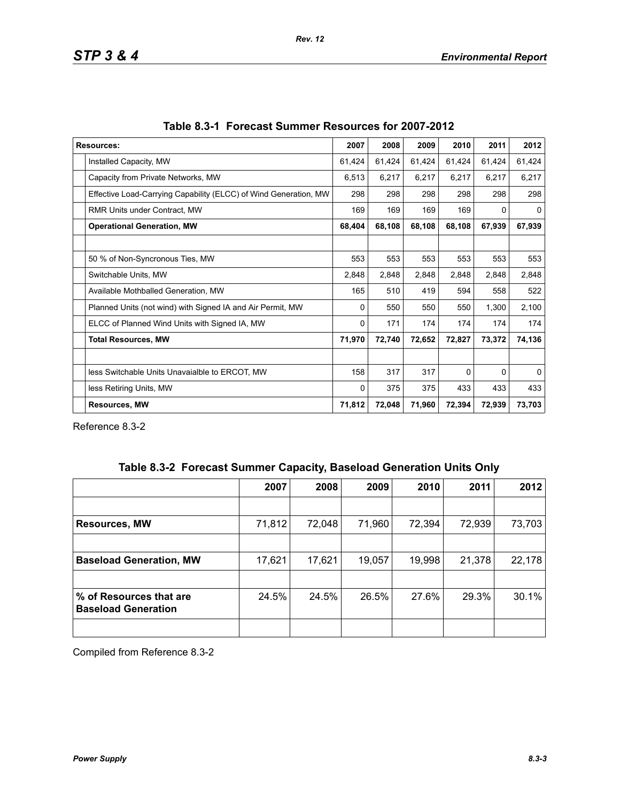| <b>Resources:</b>                                                | 2007   | 2008   | 2009   | 2010     | 2011   | 2012     |
|------------------------------------------------------------------|--------|--------|--------|----------|--------|----------|
| Installed Capacity, MW                                           | 61,424 | 61,424 | 61,424 | 61,424   | 61,424 | 61,424   |
| Capacity from Private Networks, MW                               | 6,513  | 6,217  | 6,217  | 6,217    | 6,217  | 6,217    |
| Effective Load-Carrying Capability (ELCC) of Wind Generation, MW | 298    | 298    | 298    | 298      | 298    | 298      |
| RMR Units under Contract, MW                                     |        | 169    | 169    | 169      | 0      | $\Omega$ |
| <b>Operational Generation, MW</b>                                |        | 68,108 | 68,108 | 68,108   | 67,939 | 67,939   |
|                                                                  |        |        |        |          |        |          |
| 50 % of Non-Syncronous Ties, MW                                  | 553    | 553    | 553    | 553      | 553    | 553      |
| Switchable Units, MW                                             | 2,848  | 2,848  | 2,848  | 2,848    | 2,848  | 2,848    |
| Available Mothballed Generation, MW                              | 165    | 510    | 419    | 594      | 558    | 522      |
| Planned Units (not wind) with Signed IA and Air Permit, MW       | 0      | 550    | 550    | 550      | 1,300  | 2,100    |
| ELCC of Planned Wind Units with Signed IA, MW                    | 0      | 171    | 174    | 174      | 174    | 174      |
| <b>Total Resources, MW</b>                                       | 71,970 | 72,740 | 72,652 | 72,827   | 73,372 | 74,136   |
|                                                                  |        |        |        |          |        |          |
| less Switchable Units Unavaialble to ERCOT, MW                   | 158    | 317    | 317    | $\Omega$ | 0      | $\Omega$ |
| less Retiring Units, MW                                          | 0      | 375    | 375    | 433      | 433    | 433      |
| <b>Resources, MW</b>                                             | 71,812 | 72,048 | 71,960 | 72,394   | 72,939 | 73,703   |

Reference 8.3-2

|  | Table 8.3-2 Forecast Summer Capacity, Baseload Generation Units Only |  |  |  |  |
|--|----------------------------------------------------------------------|--|--|--|--|
|--|----------------------------------------------------------------------|--|--|--|--|

|                                                       | 2007   | 2008   | 2009   | 2010   | 2011   | 2012   |
|-------------------------------------------------------|--------|--------|--------|--------|--------|--------|
|                                                       |        |        |        |        |        |        |
| <b>Resources, MW</b>                                  | 71,812 | 72,048 | 71,960 | 72,394 | 72,939 | 73,703 |
|                                                       |        |        |        |        |        |        |
| <b>Baseload Generation, MW</b>                        | 17,621 | 17,621 | 19,057 | 19,998 | 21,378 | 22,178 |
|                                                       |        |        |        |        |        |        |
| % of Resources that are<br><b>Baseload Generation</b> | 24.5%  | 24.5%  | 26.5%  | 27.6%  | 29.3%  | 30.1%  |
|                                                       |        |        |        |        |        |        |

Compiled from Reference 8.3-2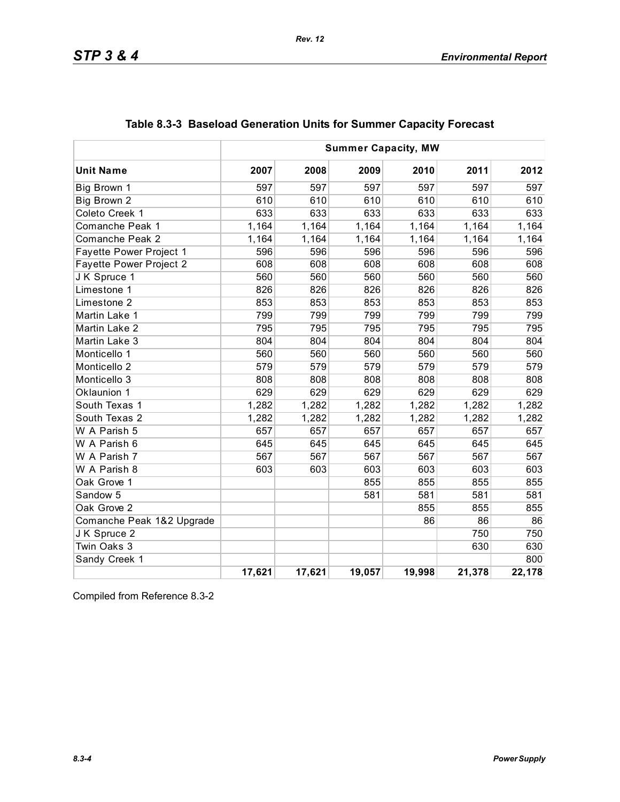|                           | <b>Summer Capacity, MW</b> |        |        |        |        |        |
|---------------------------|----------------------------|--------|--------|--------|--------|--------|
| <b>Unit Name</b>          | 2007                       | 2008   | 2009   | 2010   | 2011   | 2012   |
| Big Brown 1               | 597                        | 597    | 597    | 597    | 597    | 597    |
| Big Brown 2               | 610                        | 610    | 610    | 610    | 610    | 610    |
| Coleto Creek 1            | 633                        | 633    | 633    | 633    | 633    | 633    |
| Comanche Peak 1           | 1,164                      | 1,164  | 1,164  | 1,164  | 1,164  | 1,164  |
| Comanche Peak 2           | 1,164                      | 1,164  | 1,164  | 1,164  | 1,164  | 1,164  |
| Fayette Power Project 1   | 596                        | 596    | 596    | 596    | 596    | 596    |
| Fayette Power Project 2   | 608                        | 608    | 608    | 608    | 608    | 608    |
| JK Spruce 1               | 560                        | 560    | 560    | 560    | 560    | 560    |
| Limestone 1               | 826                        | 826    | 826    | 826    | 826    | 826    |
| Limestone 2               | 853                        | 853    | 853    | 853    | 853    | 853    |
| Martin Lake 1             | 799                        | 799    | 799    | 799    | 799    | 799    |
| Martin Lake 2             | 795                        | 795    | 795    | 795    | 795    | 795    |
| Martin Lake 3             | 804                        | 804    | 804    | 804    | 804    | 804    |
| Monticello 1              | 560                        | 560    | 560    | 560    | 560    | 560    |
| Monticello 2              | 579                        | 579    | 579    | 579    | 579    | 579    |
| Monticello 3              | 808                        | 808    | 808    | 808    | 808    | 808    |
| Oklaunion 1               | 629                        | 629    | 629    | 629    | 629    | 629    |
| South Texas 1             | 1,282                      | 1,282  | 1,282  | 1,282  | 1,282  | 1,282  |
| South Texas 2             | 1,282                      | 1,282  | 1,282  | 1,282  | 1,282  | 1,282  |
| W A Parish 5              | 657                        | 657    | 657    | 657    | 657    | 657    |
| W A Parish 6              | 645                        | 645    | 645    | 645    | 645    | 645    |
| W A Parish 7              | 567                        | 567    | 567    | 567    | 567    | 567    |
| W A Parish 8              | 603                        | 603    | 603    | 603    | 603    | 603    |
| Oak Grove 1               |                            |        | 855    | 855    | 855    | 855    |
| Sandow 5                  |                            |        | 581    | 581    | 581    | 581    |
| Oak Grove 2               |                            |        |        | 855    | 855    | 855    |
| Comanche Peak 1&2 Upgrade |                            |        |        | 86     | 86     | 86     |
| J K Spruce 2              |                            |        |        |        | 750    | 750    |
| Twin Oaks 3               |                            |        |        |        | 630    | 630    |
| Sandy Creek 1             |                            |        |        |        |        | 800    |
|                           | 17,621                     | 17,621 | 19,057 | 19,998 | 21,378 | 22,178 |

# **Table 8.3-3 Baseload Generation Units for Summer Capacity Forecast**

Compiled from Reference 8.3-2